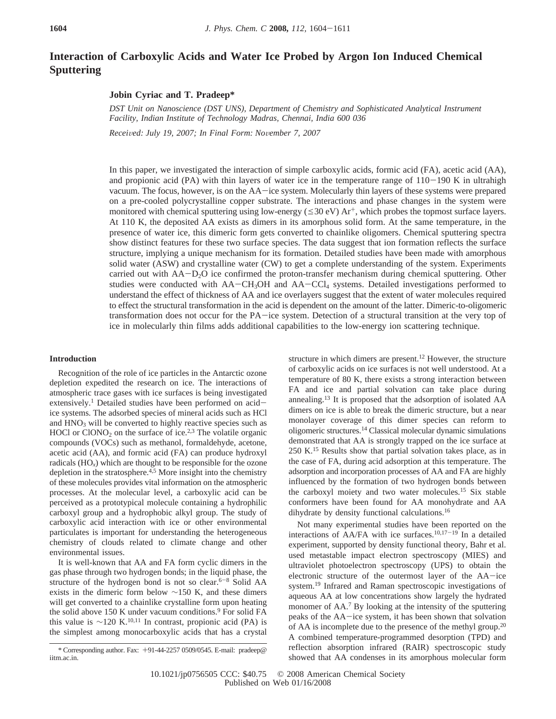# **Interaction of Carboxylic Acids and Water Ice Probed by Argon Ion Induced Chemical Sputtering**

## **Jobin Cyriac and T. Pradeep\***

*DST Unit on Nanoscience (DST UNS), Department of Chemistry and Sophisticated Analytical Instrument Facility, Indian Institute of Technology Madras, Chennai, India 600 036*

*Recei*V*ed: July 19, 2007; In Final Form: No*V*ember 7, 2007*

In this paper, we investigated the interaction of simple carboxylic acids, formic acid (FA), acetic acid (AA), and propionic acid (PA) with thin layers of water ice in the temperature range of  $110-190$  K in ultrahigh vacuum. The focus, however, is on the AA-ice system. Molecularly thin layers of these systems were prepared on a pre-cooled polycrystalline copper substrate. The interactions and phase changes in the system were monitored with chemical sputtering using low-energy ( $\leq$ 30 eV) Ar<sup>+</sup>, which probes the topmost surface layers. At 110 K, the deposited AA exists as dimers in its amorphous solid form. At the same temperature, in the presence of water ice, this dimeric form gets converted to chainlike oligomers. Chemical sputtering spectra show distinct features for these two surface species. The data suggest that ion formation reflects the surface structure, implying a unique mechanism for its formation. Detailed studies have been made with amorphous solid water (ASW) and crystalline water (CW) to get a complete understanding of the system. Experiments carried out with AA-D2O ice confirmed the proton-transfer mechanism during chemical sputtering. Other studies were conducted with  $AA-CH_3OH$  and  $AA-CCl_4$  systems. Detailed investigations performed to understand the effect of thickness of AA and ice overlayers suggest that the extent of water molecules required to effect the structural transformation in the acid is dependent on the amount of the latter. Dimeric-to-oligomeric transformation does not occur for the PA-ice system. Detection of a structural transition at the very top of ice in molecularly thin films adds additional capabilities to the low-energy ion scattering technique.

### **Introduction**

Recognition of the role of ice particles in the Antarctic ozone depletion expedited the research on ice. The interactions of atmospheric trace gases with ice surfaces is being investigated extensively.<sup>1</sup> Detailed studies have been performed on acidice systems. The adsorbed species of mineral acids such as HCl and  $HNO<sub>3</sub>$  will be converted to highly reactive species such as HOCl or  $CIONO<sub>2</sub>$  on the surface of ice.<sup>2,3</sup> The volatile organic compounds (VOCs) such as methanol, formaldehyde, acetone, acetic acid (AA), and formic acid (FA) can produce hydroxyl radicals (HO*x*) which are thought to be responsible for the ozone depletion in the stratosphere.4,5 More insight into the chemistry of these molecules provides vital information on the atmospheric processes. At the molecular level, a carboxylic acid can be perceived as a prototypical molecule containing a hydrophilic carboxyl group and a hydrophobic alkyl group. The study of carboxylic acid interaction with ice or other environmental particulates is important for understanding the heterogeneous chemistry of clouds related to climate change and other environmental issues.

It is well-known that AA and FA form cyclic dimers in the gas phase through two hydrogen bonds; in the liquid phase, the structure of the hydrogen bond is not so clear.<sup> $6-8$ </sup> Solid AA exists in the dimeric form below ∼150 K, and these dimers will get converted to a chainlike crystalline form upon heating the solid above 150 K under vacuum conditions.<sup>9</sup> For solid FA this value is ~120 K.<sup>10,11</sup> In contrast, propionic acid (PA) is the simplest among monocarboxylic acids that has a crystal

structure in which dimers are present.<sup>12</sup> However, the structure of carboxylic acids on ice surfaces is not well understood. At a temperature of 80 K, there exists a strong interaction between FA and ice and partial solvation can take place during annealing.13 It is proposed that the adsorption of isolated AA dimers on ice is able to break the dimeric structure, but a near monolayer coverage of this dimer species can reform to oligomeric structures.14 Classical molecular dynamic simulations demonstrated that AA is strongly trapped on the ice surface at 250 K.15 Results show that partial solvation takes place, as in the case of FA, during acid adsorption at this temperature. The adsorption and incorporation processes of AA and FA are highly influenced by the formation of two hydrogen bonds between the carboxyl moiety and two water molecules.15 Six stable conformers have been found for AA monohydrate and AA dihydrate by density functional calculations.16

Not many experimental studies have been reported on the interactions of AA/FA with ice surfaces.10,17-<sup>19</sup> In a detailed experiment, supported by density functional theory, Bahr et al. used metastable impact electron spectroscopy (MIES) and ultraviolet photoelectron spectroscopy (UPS) to obtain the electronic structure of the outermost layer of the AA-ice system.19 Infrared and Raman spectroscopic investigations of aqueous AA at low concentrations show largely the hydrated monomer of AA.<sup>7</sup> By looking at the intensity of the sputtering peaks of the AA-ice system, it has been shown that solvation of AA is incomplete due to the presence of the methyl group.20 A combined temperature-programmed desorption (TPD) and reflection absorption infrared (RAIR) spectroscopic study showed that AA condenses in its amorphous molecular form

<sup>\*</sup> Corresponding author. Fax: +91-44-2257 0509/0545. E-mail: pradeep@ iitm.ac.in.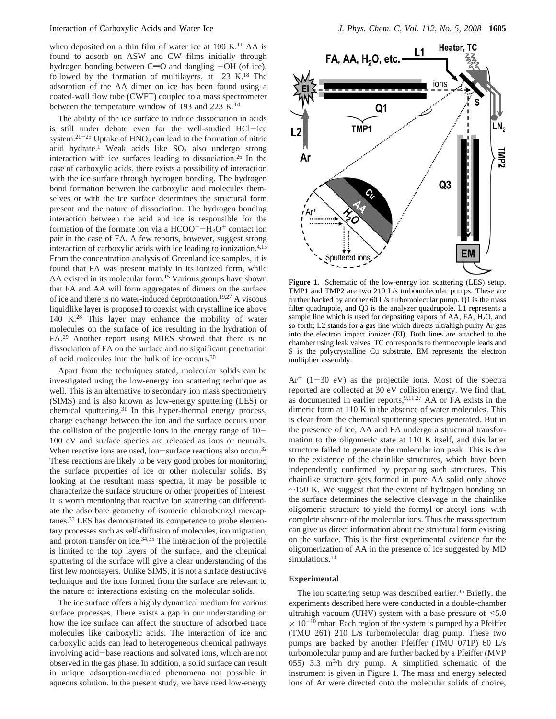when deposited on a thin film of water ice at  $100$  K.<sup>11</sup> AA is found to adsorb on ASW and CW films initially through hydrogen bonding between  $C=O$  and dangling  $-OH$  (of ice), followed by the formation of multilayers, at  $123 \text{ K}^{18}$  The adsorption of the AA dimer on ice has been found using a coated-wall flow tube (CWFT) coupled to a mass spectrometer between the temperature window of 193 and 223 K.<sup>14</sup>

The ability of the ice surface to induce dissociation in acids is still under debate even for the well-studied HCl-ice system.<sup>21-25</sup> Uptake of  $HNO<sub>3</sub>$  can lead to the formation of nitric acid hydrate.<sup>1</sup> Weak acids like  $SO<sub>2</sub>$  also undergo strong interaction with ice surfaces leading to dissociation.<sup>26</sup> In the case of carboxylic acids, there exists a possibility of interaction with the ice surface through hydrogen bonding. The hydrogen bond formation between the carboxylic acid molecules themselves or with the ice surface determines the structural form present and the nature of dissociation. The hydrogen bonding interaction between the acid and ice is responsible for the formation of the formate ion via a  $HCOO^-$ - $H_3O^+$  contact ion pair in the case of FA. A few reports, however, suggest strong interaction of carboxylic acids with ice leading to ionization.4,15 From the concentration analysis of Greenland ice samples, it is found that FA was present mainly in its ionized form, while AA existed in its molecular form.<sup>15</sup> Various groups have shown that FA and AA will form aggregates of dimers on the surface of ice and there is no water-induced deprotonation.19,27 A viscous liquidlike layer is proposed to coexist with crystalline ice above 140 K.28 This layer may enhance the mobility of water molecules on the surface of ice resulting in the hydration of FA.29 Another report using MIES showed that there is no dissociation of FA on the surface and no significant penetration of acid molecules into the bulk of ice occurs.30

Apart from the techniques stated, molecular solids can be investigated using the low-energy ion scattering technique as well. This is an alternative to secondary ion mass spectrometry (SIMS) and is also known as low-energy sputtering (LES) or chemical sputtering.31 In this hyper-thermal energy process, charge exchange between the ion and the surface occurs upon the collision of the projectile ions in the energy range of  $10-$ 100 eV and surface species are released as ions or neutrals. When reactive ions are used, ion-surface reactions also occur.<sup>32</sup> These reactions are likely to be very good probes for monitoring the surface properties of ice or other molecular solids. By looking at the resultant mass spectra, it may be possible to characterize the surface structure or other properties of interest. It is worth mentioning that reactive ion scattering can differentiate the adsorbate geometry of isomeric chlorobenzyl mercaptanes.33 LES has demonstrated its competence to probe elementary processes such as self-diffusion of molecules, ion migration, and proton transfer on ice.34,35 The interaction of the projectile is limited to the top layers of the surface, and the chemical sputtering of the surface will give a clear understanding of the first few monolayers. Unlike SIMS, it is not a surface destructive technique and the ions formed from the surface are relevant to the nature of interactions existing on the molecular solids.

The ice surface offers a highly dynamical medium for various surface processes. There exists a gap in our understanding on how the ice surface can affect the structure of adsorbed trace molecules like carboxylic acids. The interaction of ice and carboxylic acids can lead to heterogeneous chemical pathways involving acid-base reactions and solvated ions, which are not observed in the gas phase. In addition, a solid surface can result in unique adsorption-mediated phenomena not possible in aqueous solution. In the present study, we have used low-energy



Figure 1. Schematic of the low-energy ion scattering (LES) setup. TMP1 and TMP2 are two 210 L/s turbomolecular pumps. These are further backed by another 60 L/s turbomolecular pump. Q1 is the mass filter quadrupole, and Q3 is the analyzer quadrupole. L1 represents a sample line which is used for depositing vapors of AA, FA, H<sub>2</sub>O, and so forth; L2 stands for a gas line which directs ultrahigh purity Ar gas into the electron impact ionizer (EI). Both lines are attached to the chamber using leak valves. TC corresponds to thermocouple leads and S is the polycrystalline Cu substrate. EM represents the electron multiplier assembly.

 $Ar^+$  (1-30 eV) as the projectile ions. Most of the spectra reported are collected at 30 eV collision energy. We find that, as documented in earlier reports,  $9,11,27$  AA or FA exists in the dimeric form at 110 K in the absence of water molecules. This is clear from the chemical sputtering species generated. But in the presence of ice, AA and FA undergo a structural transformation to the oligomeric state at 110 K itself, and this latter structure failed to generate the molecular ion peak. This is due to the existence of the chainlike structures, which have been independently confirmed by preparing such structures. This chainlike structure gets formed in pure AA solid only above ∼150 K. We suggest that the extent of hydrogen bonding on the surface determines the selective cleavage in the chainlike oligomeric structure to yield the formyl or acetyl ions, with complete absence of the molecular ions. Thus the mass spectrum can give us direct information about the structural form existing on the surface. This is the first experimental evidence for the oligomerization of AA in the presence of ice suggested by MD simulations.<sup>14</sup>

# **Experimental**

The ion scattering setup was described earlier.<sup>35</sup> Briefly, the experiments described here were conducted in a double-chamber ultrahigh vacuum (UHV) system with a base pressure of  $\leq 5.0$  $\times$  10<sup>-10</sup> mbar. Each region of the system is pumped by a Pfeiffer (TMU 261) 210 L/s turbomolecular drag pump. These two pumps are backed by another Pfeiffer (TMU 071P) 60 L/s turbomolecular pump and are further backed by a Pfeiffer (MVP 055) 3.3 m3/h dry pump. A simplified schematic of the instrument is given in Figure 1. The mass and energy selected ions of Ar were directed onto the molecular solids of choice,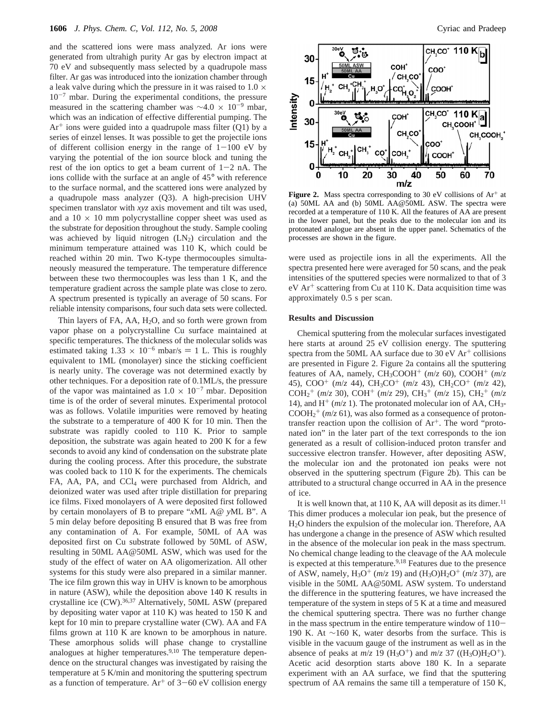and the scattered ions were mass analyzed. Ar ions were generated from ultrahigh purity Ar gas by electron impact at 70 eV and subsequently mass selected by a quadrupole mass filter. Ar gas was introduced into the ionization chamber through a leak valve during which the pressure in it was raised to  $1.0 \times$  $10^{-7}$  mbar. During the experimental conditions, the pressure measured in the scattering chamber was  $\sim$ 4.0 × 10<sup>-9</sup> mbar, which was an indication of effective differential pumping. The  $Ar<sup>+</sup>$  ions were guided into a quadrupole mass filter (Q1) by a series of einzel lenses. It was possible to get the projectile ions of different collision energy in the range of  $1-100$  eV by varying the potential of the ion source block and tuning the rest of the ion optics to get a beam current of  $1-2$  nA. The ions collide with the surface at an angle of 45° with reference to the surface normal, and the scattered ions were analyzed by a quadrupole mass analyzer (Q3). A high-precision UHV specimen translator with *xyz* axis movement and tilt was used, and a  $10 \times 10$  mm polycrystalline copper sheet was used as the substrate for deposition throughout the study. Sample cooling was achieved by liquid nitrogen  $(LN_2)$  circulation and the minimum temperature attained was 110 K, which could be reached within 20 min. Two K-type thermocouples simultaneously measured the temperature. The temperature difference between these two thermocouples was less than 1 K, and the temperature gradient across the sample plate was close to zero. A spectrum presented is typically an average of 50 scans. For reliable intensity comparisons, four such data sets were collected.

Thin layers of FA,  $AA$ ,  $H_2O$ , and so forth were grown from vapor phase on a polycrystalline Cu surface maintained at specific temperatures. The thickness of the molecular solids was estimated taking  $1.33 \times 10^{-6}$  mbar/s = 1 L. This is roughly equivalent to 1ML (monolayer) since the sticking coefficient is nearly unity. The coverage was not determined exactly by other techniques. For a deposition rate of 0.1ML/s, the pressure of the vapor was maintained as  $1.0 \times 10^{-7}$  mbar. Deposition time is of the order of several minutes. Experimental protocol was as follows. Volatile impurities were removed by heating the substrate to a temperature of 400 K for 10 min. Then the substrate was rapidly cooled to 110 K. Prior to sample deposition, the substrate was again heated to 200 K for a few seconds to avoid any kind of condensation on the substrate plate during the cooling process. After this procedure, the substrate was cooled back to 110 K for the experiments. The chemicals FA, AA, PA, and  $CCl_4$  were purchased from Aldrich, and deionized water was used after triple distillation for preparing ice films. Fixed monolayers of A were deposited first followed by certain monolayers of B to prepare "*x*ML A@ *y*ML B". A 5 min delay before depositing B ensured that B was free from any contamination of A. For example, 50ML of AA was deposited first on Cu substrate followed by 50ML of ASW, resulting in 50ML AA@50ML ASW, which was used for the study of the effect of water on AA oligomerization. All other systems for this study were also prepared in a similar manner. The ice film grown this way in UHV is known to be amorphous in nature (ASW), while the deposition above 140 K results in crystalline ice (CW).36,37 Alternatively, 50ML ASW (prepared by depositing water vapor at 110 K) was heated to 150 K and kept for 10 min to prepare crystalline water (CW). AA and FA films grown at 110 K are known to be amorphous in nature. These amorphous solids will phase change to crystalline analogues at higher temperatures.<sup>9,10</sup> The temperature dependence on the structural changes was investigated by raising the temperature at 5 K/min and monitoring the sputtering spectrum as a function of temperature. Ar<sup>+</sup> of  $3-60$  eV collision energy



Figure 2. Mass spectra corresponding to 30 eV collisions of Ar<sup>+</sup> at (a) 50ML AA and (b) 50ML AA@50ML ASW. The spectra were recorded at a temperature of 110 K. All the features of AA are present in the lower panel, but the peaks due to the molecular ion and its protonated analogue are absent in the upper panel. Schematics of the processes are shown in the figure.

were used as projectile ions in all the experiments. All the spectra presented here were averaged for 50 scans, and the peak intensities of the sputtered species were normalized to that of 3  $eV$  Ar<sup>+</sup> scattering from Cu at 110 K. Data acquisition time was approximately 0.5 s per scan.

#### **Results and Discussion**

Chemical sputtering from the molecular surfaces investigated here starts at around 25 eV collision energy. The sputtering spectra from the 50ML AA surface due to 30 eV  $Ar<sup>+</sup>$  collisions are presented in Figure 2. Figure 2a contains all the sputtering features of AA, namely,  $CH_3COOH^+$  ( $m/z$  60), COOH<sup>+</sup> ( $m/z$ 45), COO<sup>+</sup> (*m*/*z* 44), CH3CO<sup>+</sup> (*m*/*z* 43), CH2CO<sup>+</sup> (*m*/*z* 42), COH2 <sup>+</sup> (*m*/*z* 30), COH<sup>+</sup> (*m*/*z* 29), CH3 <sup>+</sup> (*m*/*z* 15), CH2 <sup>+</sup> (*m*/*z* 14), and  $H^+$  ( $m/z$  1). The protonated molecular ion of AA, CH<sub>3</sub>- $COOH<sub>2</sub><sup>+</sup>$  (*m*/*z* 61), was also formed as a consequence of protontransfer reaction upon the collision of  $Ar^+$ . The word "protonated ion" in the later part of the text corresponds to the ion generated as a result of collision-induced proton transfer and successive electron transfer. However, after depositing ASW, the molecular ion and the protonated ion peaks were not observed in the sputtering spectrum (Figure 2b). This can be attributed to a structural change occurred in AA in the presence of ice.

It is well known that, at  $110$  K, AA will deposit as its dimer.<sup>11</sup> This dimer produces a molecular ion peak, but the presence of H2O hinders the expulsion of the molecular ion. Therefore, AA has undergone a change in the presence of ASW which resulted in the absence of the molecular ion peak in the mass spectrum. No chemical change leading to the cleavage of the AA molecule is expected at this temperature.<sup>9,18</sup> Features due to the presence of ASW, namely,  $H_3O^+(m/z\ 19)$  and  $(H_3O)H_2O^+(m/z\ 37)$ , are visible in the 50ML AA@50ML ASW system. To understand the difference in the sputtering features, we have increased the temperature of the system in steps of 5 K at a time and measured the chemical sputtering spectra. There was no further change in the mass spectrum in the entire temperature window of  $110-$ 190 K. At ∼160 K, water desorbs from the surface. This is visible in the vacuum gauge of the instrument as well as in the absence of peaks at  $m/z$  19 (H<sub>3</sub>O<sup>+</sup>) and  $m/z$  37 ((H<sub>3</sub>O)H<sub>2</sub>O<sup>+</sup>). Acetic acid desorption starts above 180 K. In a separate experiment with an AA surface, we find that the sputtering spectrum of AA remains the same till a temperature of 150 K,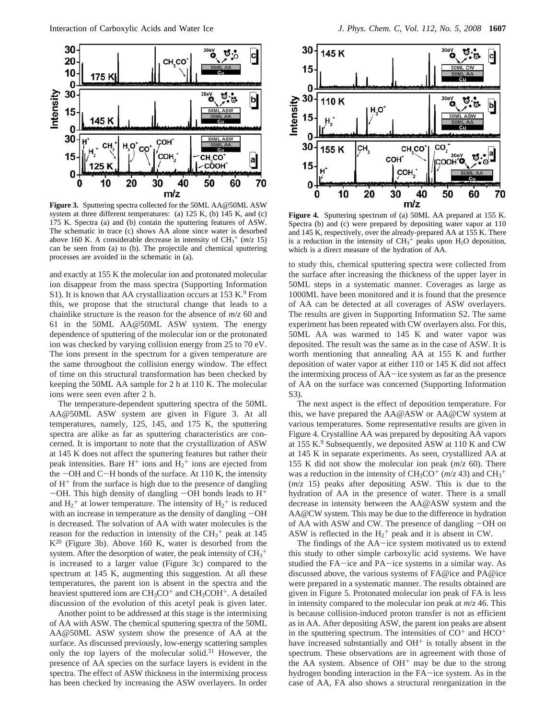

**Figure 3.** Sputtering spectra collected for the 50ML AA@50ML ASW system at three different temperatures: (a) 125 K, (b) 145 K, and (c) 175 K. Spectra (a) and (b) contain the sputtering features of ASW. The schematic in trace (c) shows AA alone since water is desorbed above 160 K. A considerable decrease in intensity of  $CH_3^+$  ( $m/z$  15) can be seen from (a) to (b). The projectile and chemical sputtering processes are avoided in the schematic in (a).

and exactly at 155 K the molecular ion and protonated molecular ion disappear from the mass spectra (Supporting Information S1). It is known that AA crystallization occurs at  $153 K<sup>9</sup>$  From this, we propose that the structural change that leads to a chainlike structure is the reason for the absence of *m*/*z* 60 and 61 in the 50ML AA@50ML ASW system. The energy dependence of sputtering of the molecular ion or the protonated ion was checked by varying collision energy from 25 to 70 eV. The ions present in the spectrum for a given temperature are the same throughout the collision energy window. The effect of time on this structural transformation has been checked by keeping the 50ML AA sample for 2 h at 110 K. The molecular ions were seen even after 2 h.

The temperature-dependent sputtering spectra of the 50ML AA@50ML ASW system are given in Figure 3. At all temperatures, namely, 125, 145, and 175 K, the sputtering spectra are alike as far as sputtering characteristics are concerned. It is important to note that the crystallization of ASW at 145 K does not affect the sputtering features but rather their peak intensities. Bare  $H^+$  ions and  $H_2^+$  ions are ejected from the  $-OH$  and  $C-H$  bonds of the surface. At 110 K, the intensity of  $H<sup>+</sup>$  from the surface is high due to the presence of dangling  $-$ OH. This high density of dangling  $-$ OH bonds leads to H<sup>+</sup> and  $H_2$ <sup>+</sup> at lower temperature. The intensity of  $H_2$ <sup>+</sup> is reduced with an increase in temperature as the density of dangling  $-OH$ is decreased. The solvation of AA with water molecules is the reason for the reduction in intensity of the  $CH_3^+$  peak at 145  $K^{20}$  (Figure 3b). Above 160 K, water is desorbed from the system. After the desorption of water, the peak intensity of  $CH_3^+$ is increased to a larger value (Figure 3c) compared to the spectrum at 145 K, augmenting this suggestion. At all these temperatures, the parent ion is absent in the spectra and the heaviest sputtered ions are  $CH_3CO<sup>+</sup>$  and  $CH_3COH<sup>+</sup>$ . A detailed discussion of the evolution of this acetyl peak is given later.

Another point to be addressed at this stage is the intermixing of AA with ASW. The chemical sputtering spectra of the 50ML AA@50ML ASW system show the presence of AA at the surface. As discussed previously, low-energy scattering samples only the top layers of the molecular solid.31 However, the presence of AA species on the surface layers is evident in the spectra. The effect of ASW thickness in the intermixing process has been checked by increasing the ASW overlayers. In order



**Figure 4.** Sputtering spectrum of (a) 50ML AA prepared at 155 K. Spectra (b) and (c) were prepared by depositing water vapor at 110 and 145 K, respectively, over the already-prepared AA at 155 K. There is a reduction in the intensity of  $CH_3^+$  peaks upon  $H_2O$  deposition, which is a direct measure of the hydration of AA.

to study this, chemical sputtering spectra were collected from the surface after increasing the thickness of the upper layer in 50ML steps in a systematic manner. Coverages as large as 1000ML have been monitored and it is found that the presence of AA can be detected at all coverages of ASW overlayers. The results are given in Supporting Information S2. The same experiment has been repeated with CW overlayers also. For this, 50ML AA was warmed to 145 K and water vapor was deposited. The result was the same as in the case of ASW. It is worth mentioning that annealing AA at 155 K and further deposition of water vapor at either 110 or 145 K did not affect the intermixing process of AA-ice system as far as the presence of AA on the surface was concerned (Supporting Information S3).

The next aspect is the effect of deposition temperature. For this, we have prepared the AA@ASW or AA@CW system at various temperatures. Some representative results are given in Figure 4. Crystalline AA was prepared by depositing AA vapors at 155 K.<sup>9</sup> Subsequently, we deposited ASW at 110 K and CW at 145 K in separate experiments. As seen, crystallized AA at 155 K did not show the molecular ion peak (*m*/*z* 60). There was a reduction in the intensity of  $CH_3CO^+$  ( $m/z$  43) and  $CH_3^+$ (*m*/*z* 15) peaks after depositing ASW. This is due to the hydration of AA in the presence of water. There is a small decrease in intensity between the AA@ASW system and the AA@CW system. This may be due to the difference in hydration of AA with ASW and CW. The presence of dangling  $-OH$  on ASW is reflected in the  $H_2^+$  peak and it is absent in CW.

The findings of the AA-ice system motivated us to extend this study to other simple carboxylic acid systems. We have studied the FA-ice and PA-ice systems in a similar way. As discussed above, the various systems of FA@ice and PA@ice were prepared in a systematic manner. The results obtained are given in Figure 5. Protonated molecular ion peak of FA is less in intensity compared to the molecular ion peak at *m*/*z* 46. This is because collision-induced proton transfer is not as efficient as in AA. After depositing ASW, the parent ion peaks are absent in the sputtering spectrum. The intensities of  $CO<sup>+</sup>$  and  $HCO<sup>+</sup>$ have increased substantially and  $OH<sup>+</sup>$  is totally absent in the spectrum. These observations are in agreement with those of the AA system. Absence of  $OH<sup>+</sup>$  may be due to the strong hydrogen bonding interaction in the FA-ice system. As in the case of AA, FA also shows a structural reorganization in the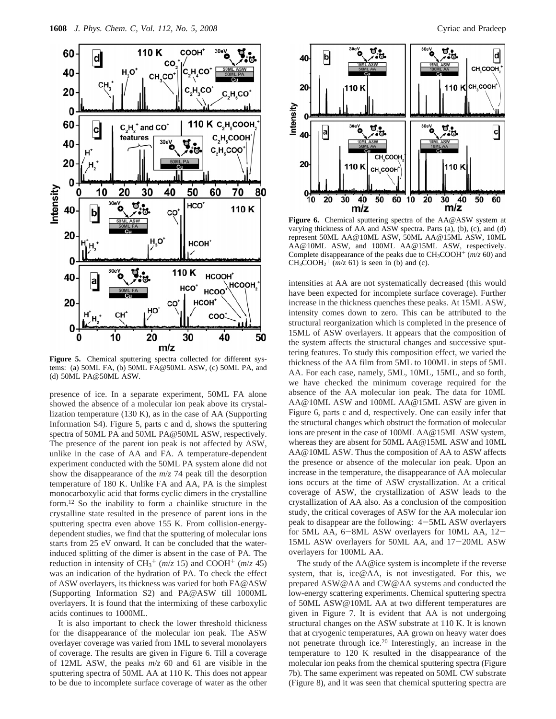

**Figure 5.** Chemical sputtering spectra collected for different systems: (a) 50ML FA, (b) 50ML FA@50ML ASW, (c) 50ML PA, and (d) 50ML PA@50ML ASW.

presence of ice. In a separate experiment, 50ML FA alone showed the absence of a molecular ion peak above its crystallization temperature (130 K), as in the case of AA (Supporting Information S4). Figure 5, parts c and d, shows the sputtering spectra of 50ML PA and 50ML PA@50ML ASW, respectively. The presence of the parent ion peak is not affected by ASW, unlike in the case of AA and FA. A temperature-dependent experiment conducted with the 50ML PA system alone did not show the disappearance of the *m*/*z* 74 peak till the desorption temperature of 180 K. Unlike FA and AA, PA is the simplest monocarboxylic acid that forms cyclic dimers in the crystalline form.12 So the inability to form a chainlike structure in the crystalline state resulted in the presence of parent ions in the sputtering spectra even above 155 K. From collision-energydependent studies, we find that the sputtering of molecular ions starts from 25 eV onward. It can be concluded that the waterinduced splitting of the dimer is absent in the case of PA. The reduction in intensity of  $CH_3^+$  ( $m/z$  15) and COOH<sup>+</sup> ( $m/z$  45) was an indication of the hydration of PA. To check the effect of ASW overlayers, its thickness was varied for both FA@ASW (Supporting Information S2) and PA@ASW till 1000ML overlayers. It is found that the intermixing of these carboxylic acids continues to 1000ML.

It is also important to check the lower threshold thickness for the disappearance of the molecular ion peak. The ASW overlayer coverage was varied from 1ML to several monolayers of coverage. The results are given in Figure 6. Till a coverage of 12ML ASW, the peaks *m*/*z* 60 and 61 are visible in the sputtering spectra of 50ML AA at 110 K. This does not appear to be due to incomplete surface coverage of water as the other



**Figure 6.** Chemical sputtering spectra of the AA@ASW system at varying thickness of AA and ASW spectra. Parts (a), (b), (c), and (d) represent 50ML AA@10ML ASW, 50ML AA@15ML ASW, 10ML AA@10ML ASW, and 100ML AA@15ML ASW, respectively. Complete disappearance of the peaks due to  $CH_3COOH^+$  ( $m/z$  60) and  $CH<sub>3</sub>COOH<sub>2</sub><sup>+</sup>$  ( $m/z$  61) is seen in (b) and (c).

intensities at AA are not systematically decreased (this would have been expected for incomplete surface coverage). Further increase in the thickness quenches these peaks. At 15ML ASW, intensity comes down to zero. This can be attributed to the structural reorganization which is completed in the presence of 15ML of ASW overlayers. It appears that the composition of the system affects the structural changes and successive sputtering features. To study this composition effect, we varied the thickness of the AA film from 5ML to 100ML in steps of 5ML AA. For each case, namely, 5ML, 10ML, 15ML, and so forth, we have checked the minimum coverage required for the absence of the AA molecular ion peak. The data for 10ML AA@10ML ASW and 100ML AA@15ML ASW are given in Figure 6, parts c and d, respectively. One can easily infer that the structural changes which obstruct the formation of molecular ions are present in the case of 100ML AA@15ML ASW system, whereas they are absent for 50ML AA@15ML ASW and 10ML AA@10ML ASW. Thus the composition of AA to ASW affects the presence or absence of the molecular ion peak. Upon an increase in the temperature, the disappearance of AA molecular ions occurs at the time of ASW crystallization. At a critical coverage of ASW, the crystallization of ASW leads to the crystallization of AA also. As a conclusion of the composition study, the critical coverages of ASW for the AA molecular ion peak to disappear are the following: 4-5ML ASW overlayers for 5ML AA, 6-8ML ASW overlayers for 10ML AA, 12- 15ML ASW overlayers for 50ML AA, and 17-20ML ASW overlayers for 100ML AA.

The study of the AA@ice system is incomplete if the reverse system, that is, ice@AA, is not investigated. For this, we prepared ASW@AA and CW@AA systems and conducted the low-energy scattering experiments. Chemical sputtering spectra of 50ML ASW@10ML AA at two different temperatures are given in Figure 7. It is evident that AA is not undergoing structural changes on the ASW substrate at 110 K. It is known that at cryogenic temperatures, AA grown on heavy water does not penetrate through ice.20 Interestingly, an increase in the temperature to 120 K resulted in the disappearance of the molecular ion peaks from the chemical sputtering spectra (Figure 7b). The same experiment was repeated on 50ML CW substrate (Figure 8), and it was seen that chemical sputtering spectra are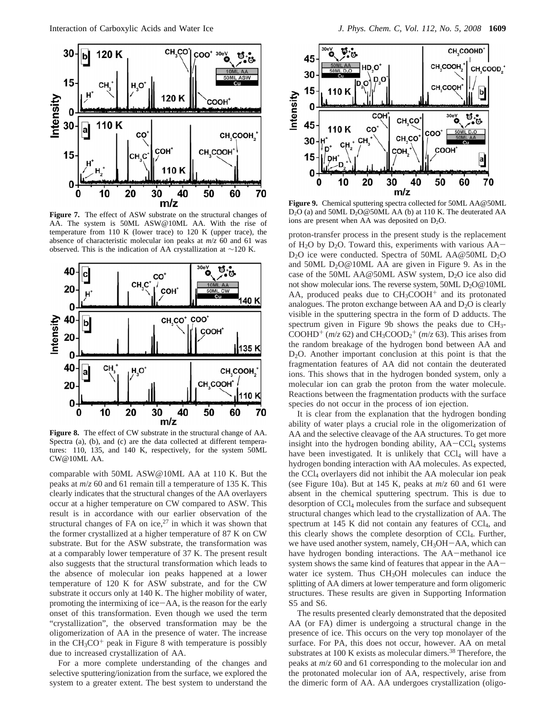

**Figure 7.** The effect of ASW substrate on the structural changes of AA. The system is 50ML ASW@10ML AA. With the rise of temperature from 110 K (lower trace) to 120 K (upper trace), the absence of characteristic molecular ion peaks at *m*/*z* 60 and 61 was observed. This is the indication of AA crystallization at ∼120 K.



**Figure 8.** The effect of CW substrate in the structural change of AA. Spectra (a), (b), and (c) are the data collected at different temperatures: 110, 135, and 140 K, respectively, for the system 50ML CW@10ML AA.

comparable with 50ML ASW@10ML AA at 110 K. But the peaks at *m*/*z* 60 and 61 remain till a temperature of 135 K. This clearly indicates that the structural changes of the AA overlayers occur at a higher temperature on CW compared to ASW. This result is in accordance with our earlier observation of the structural changes of FA on ice, $27$  in which it was shown that the former crystallized at a higher temperature of 87 K on CW substrate. But for the ASW substrate, the transformation was at a comparably lower temperature of 37 K. The present result also suggests that the structural transformation which leads to the absence of molecular ion peaks happened at a lower temperature of 120 K for ASW substrate, and for the CW substrate it occurs only at 140 K. The higher mobility of water, promoting the intermixing of ice-AA, is the reason for the early onset of this transformation. Even though we used the term "crystallization", the observed transformation may be the oligomerization of AA in the presence of water. The increase in the  $CH<sub>3</sub>CO<sup>+</sup>$  peak in Figure 8 with temperature is possibly due to increased crystallization of AA.

For a more complete understanding of the changes and selective sputtering/ionization from the surface, we explored the system to a greater extent. The best system to understand the



**Figure 9.** Chemical sputtering spectra collected for 50ML AA@50ML D<sub>2</sub>O (a) and 50ML D<sub>2</sub>O@50ML AA (b) at 110 K. The deuterated AA ions are present when AA was deposited on  $D_2O$ .

proton-transfer process in the present study is the replacement of H<sub>2</sub>O by D<sub>2</sub>O. Toward this, experiments with various  $AA$ D<sub>2</sub>O ice were conducted. Spectra of 50ML AA@50ML D<sub>2</sub>O and 50ML  $D_2O@10ML$  AA are given in Figure 9. As in the case of the 50ML AA@50ML ASW system,  $D_2O$  ice also did not show molecular ions. The reverse system, 50ML D<sub>2</sub>O@10ML AA, produced peaks due to  $CH<sub>3</sub>COOH<sup>+</sup>$  and its protonated analogues. The proton exchange between  $AA$  and  $D_2O$  is clearly visible in the sputtering spectra in the form of D adducts. The spectrum given in Figure 9b shows the peaks due to CH3- COOHD<sup>+</sup> ( $m/z$  62) and  $CH_3COOD_2^+$  ( $m/z$  63). This arises from the random breakage of the hydrogen bond between AA and D2O. Another important conclusion at this point is that the fragmentation features of AA did not contain the deuterated ions. This shows that in the hydrogen bonded system, only a molecular ion can grab the proton from the water molecule. Reactions between the fragmentation products with the surface species do not occur in the process of ion ejection.

It is clear from the explanation that the hydrogen bonding ability of water plays a crucial role in the oligomerization of AA and the selective cleavage of the AA structures. To get more insight into the hydrogen bonding ability,  $AA-CCl<sub>4</sub>$  systems have been investigated. It is unlikely that CCl<sub>4</sub> will have a hydrogen bonding interaction with AA molecules. As expected, the CCl4 overlayers did not inhibit the AA molecular ion peak (see Figure 10a). But at 145 K, peaks at *m*/*z* 60 and 61 were absent in the chemical sputtering spectrum. This is due to desorption of CCl4 molecules from the surface and subsequent structural changes which lead to the crystallization of AA. The spectrum at  $145$  K did not contain any features of CCl<sub>4</sub>, and this clearly shows the complete desorption of CCl4. Further, we have used another system, namely, CH<sub>3</sub>OH-AA, which can have hydrogen bonding interactions. The AA-methanol ice system shows the same kind of features that appear in the AAwater ice system. Thus CH3OH molecules can induce the splitting of AA dimers at lower temperature and form oligomeric structures. These results are given in Supporting Information S5 and S6.

The results presented clearly demonstrated that the deposited AA (or FA) dimer is undergoing a structural change in the presence of ice. This occurs on the very top monolayer of the surface. For PA, this does not occur, however. AA on metal substrates at 100 K exists as molecular dimers.<sup>38</sup> Therefore, the peaks at *m*/*z* 60 and 61 corresponding to the molecular ion and the protonated molecular ion of AA, respectively, arise from the dimeric form of AA. AA undergoes crystallization (oligo-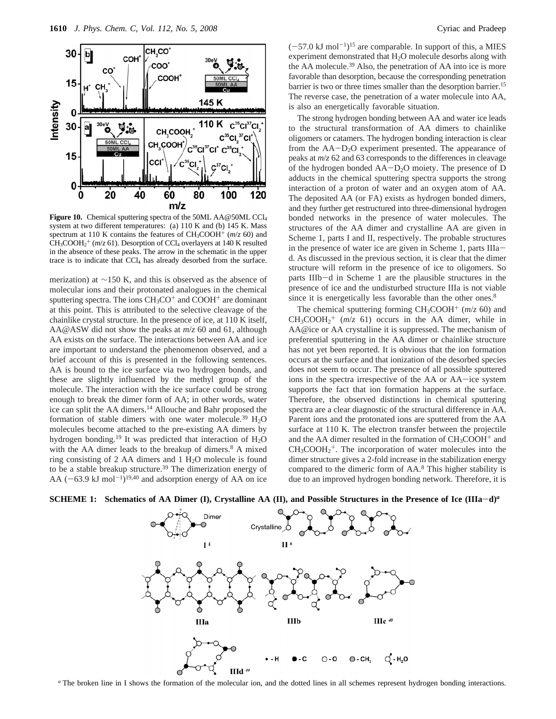

**Figure 10.** Chemical sputtering spectra of the 50ML AA@50ML CCl4 system at two different temperatures: (a) 110 K and (b) 145 K. Mass spectrum at 110 K contains the features of  $CH_3COOH^+$  ( $m/z$  60) and  $CH_3COOH_2^+$  ( $m/z$  61). Desorption of CCl<sub>4</sub> overlayers at 140 K resulted in the absence of these peaks. The arrow in the schematic in the upper trace is to indicate that  $CCl<sub>4</sub>$  has already desorbed from the surface.

merization) at ∼150 K, and this is observed as the absence of molecular ions and their protonated analogues in the chemical sputtering spectra. The ions  $CH<sub>3</sub>CO<sup>+</sup>$  and COOH<sup>+</sup> are dominant at this point. This is attributed to the selective cleavage of the chainlike crystal structure. In the presence of ice, at 110 K itself, AA@ASW did not show the peaks at *m*/*z* 60 and 61, although AA exists on the surface. The interactions between AA and ice are important to understand the phenomenon observed, and a brief account of this is presented in the following sentences. AA is bound to the ice surface via two hydrogen bonds, and these are slightly influenced by the methyl group of the molecule. The interaction with the ice surface could be strong enough to break the dimer form of AA; in other words, water ice can split the AA dimers.14 Allouche and Bahr proposed the formation of stable dimers with one water molecule.<sup>39</sup> H<sub>2</sub>O molecules become attached to the pre-existing AA dimers by hydrogen bonding.19 It was predicted that interaction of H2O with the AA dimer leads to the breakup of dimers.<sup>8</sup> A mixed ring consisting of 2 AA dimers and  $1 \text{ H}_2\text{O}$  molecule is found to be a stable breakup structure.<sup>39</sup> The dimerization energy of AA  $(-63.9 \text{ kJ mol}^{-1})^{19,40}$  and adsorption energy of AA on ice  $(-57.0 \text{ kJ mol}^{-1})^{15}$  are comparable. In support of this, a MIES experiment demonstrated that  $H_2O$  molecule desorbs along with the AA molecule.39 Also, the penetration of AA into ice is more favorable than desorption, because the corresponding penetration barrier is two or three times smaller than the desorption barrier.<sup>15</sup> The reverse case, the penetration of a water molecule into AA, is also an energetically favorable situation.

The strong hydrogen bonding between AA and water ice leads to the structural transformation of AA dimers to chainlike oligomers or catamers. The hydrogen bonding interaction is clear from the  $AA-D_2O$  experiment presented. The appearance of peaks at *m*/*z* 62 and 63 corresponds to the differences in cleavage of the hydrogen bonded  $AA-D_2O$  moiety. The presence of D adducts in the chemical sputtering spectra supports the strong interaction of a proton of water and an oxygen atom of AA. The deposited AA (or FA) exists as hydrogen bonded dimers, and they further get restructured into three-dimensional hydrogen bonded networks in the presence of water molecules. The structures of the AA dimer and crystalline AA are given in Scheme 1, parts I and II, respectively. The probable structures in the presence of water ice are given in Scheme 1, parts IIIad. As discussed in the previous section, it is clear that the dimer structure will reform in the presence of ice to oligomers. So parts IIIb-d in Scheme 1 are the plausible structures in the presence of ice and the undisturbed structure IIIa is not viable since it is energetically less favorable than the other ones.<sup>8</sup>

The chemical sputtering forming CH<sub>3</sub>COOH<sup>+</sup> ( $m/z$  60) and  $CH_3COOH_2^+$  ( $m/z$  61) occurs in the AA dimer, while in AA@ice or AA crystalline it is suppressed. The mechanism of preferential sputtering in the AA dimer or chainlike structure has not yet been reported. It is obvious that the ion formation occurs at the surface and that ionization of the desorbed species does not seem to occur. The presence of all possible sputtered ions in the spectra irrespective of the AA or AA-ice system supports the fact that ion formation happens at the surface. Therefore, the observed distinctions in chemical sputtering spectra are a clear diagnostic of the structural difference in AA. Parent ions and the protonated ions are sputtered from the AA surface at 110 K. The electron transfer between the projectile and the AA dimer resulted in the formation of  $CH<sub>3</sub>COOH<sup>+</sup>$  and  $CH<sub>3</sub>COOH<sub>2</sub><sup>+</sup>$ . The incorporation of water molecules into the dimer structure gives a 2-fold increase in the stabilization energy compared to the dimeric form of AA.8 This higher stability is due to an improved hydrogen bonding network. Therefore, it is





*<sup>a</sup>* The broken line in I shows the formation of the molecular ion, and the dotted lines in all schemes represent hydrogen bonding interactions.